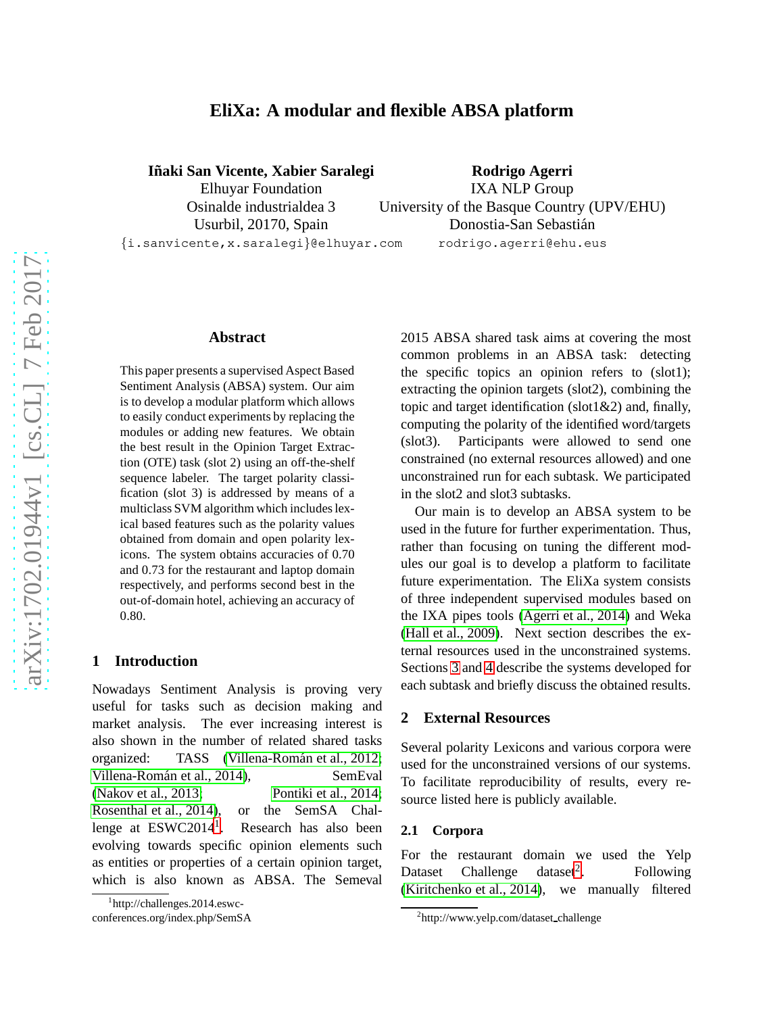# **EliXa: A modular and flexible ABSA platform**

**Iñaki San Vicente, Xabier Saralegi** 

Elhuyar Foundation Osinalde industrialdea 3 Usurbil, 20170, Spain

**Rodrigo Agerri** IXA NLP Group University of the Basque Country (UPV/EHU) Donostia-San Sebastián rodrigo.agerri@ehu.eus

{i.sanvicente,x.saralegi}@elhuyar.com

#### **Abstract**

This paper presents a supervised Aspect Based Sentiment Analysis (ABSA) system. Our aim is to develop a modular platform which allows to easily conduct experiments by replacing the modules or adding new features. We obtain the best result in the Opinion Target Extraction (OTE) task (slot 2) using an off-the-shelf sequence labeler. The target polarity classification (slot 3) is addressed by means of a multiclass SVM algorithm which includes lexical based features such as the polarity values obtained from domain and open polarity lexicons. The system obtains accuracies of 0.70 and 0.73 for the restaurant and laptop domain respectively, and performs second best in the out-of-domain hotel, achieving an accuracy of 0.80.

#### **1 Introduction**

Nowadays Sentiment Analysis is proving very useful for tasks such as decision making and market analysis. The ever increasing interest is also shown in the number of related shared tasks organized: TASS (Villena-Román et al., 2012; Villena-Román et al., 2014), SemEval [\(Nakov et al., 2013;](#page-4-1) [Pontiki et al., 2014;](#page-4-2) [Rosenthal et al., 2014\)](#page-4-3), or the SemSA Challenge at  $ESWC2014<sup>1</sup>$  $ESWC2014<sup>1</sup>$  $ESWC2014<sup>1</sup>$ . . Research has also been evolving towards specific opinion elements such as entities or properties of a certain opinion target, which is also known as ABSA. The Semeval

2015 ABSA shared task aims at covering the most common problems in an ABSA task: detecting the specific topics an opinion refers to (slot1); extracting the opinion targets (slot2), combining the topic and target identification (slot1 $\&$ 2) and, finally, computing the polarity of the identified word/targets (slot3). Participants were allowed to send one constrained (no external resources allowed) and one unconstrained run for each subtask. We participated in the slot2 and slot3 subtasks.

Our main is to develop an ABSA system to be used in the future for further experimentation. Thus, rather than focusing on tuning the different modules our goal is to develop a platform to facilitate future experimentation. The EliXa system consists of three independent supervised modules based on the IXA pipes tools [\(Agerri et al., 2014\)](#page-4-4) and Weka [\(Hall et al., 2009\)](#page-4-5). Next section describes the external resources used in the unconstrained systems. Sections [3](#page-1-0) and [4](#page-2-0) describe the systems developed for each subtask and briefly discuss the obtained results.

# **2 External Resources**

Several polarity Lexicons and various corpora were used for the unconstrained versions of our systems. To facilitate reproducibility of results, every resource listed here is publicly available.

#### <span id="page-0-2"></span>**2.1 Corpora**

For the restaurant domain we used the Yelp Dataset Challenge dataset<sup>[2](#page-0-1)</sup>. . Following [\(Kiritchenko et al., 2014\)](#page-4-6), we manually filtered

<span id="page-0-0"></span><sup>1</sup> http://challenges.2014.eswc-

conferences.org/index.php/SemSA

<span id="page-0-1"></span><sup>2</sup> http://www.yelp.com/dataset challenge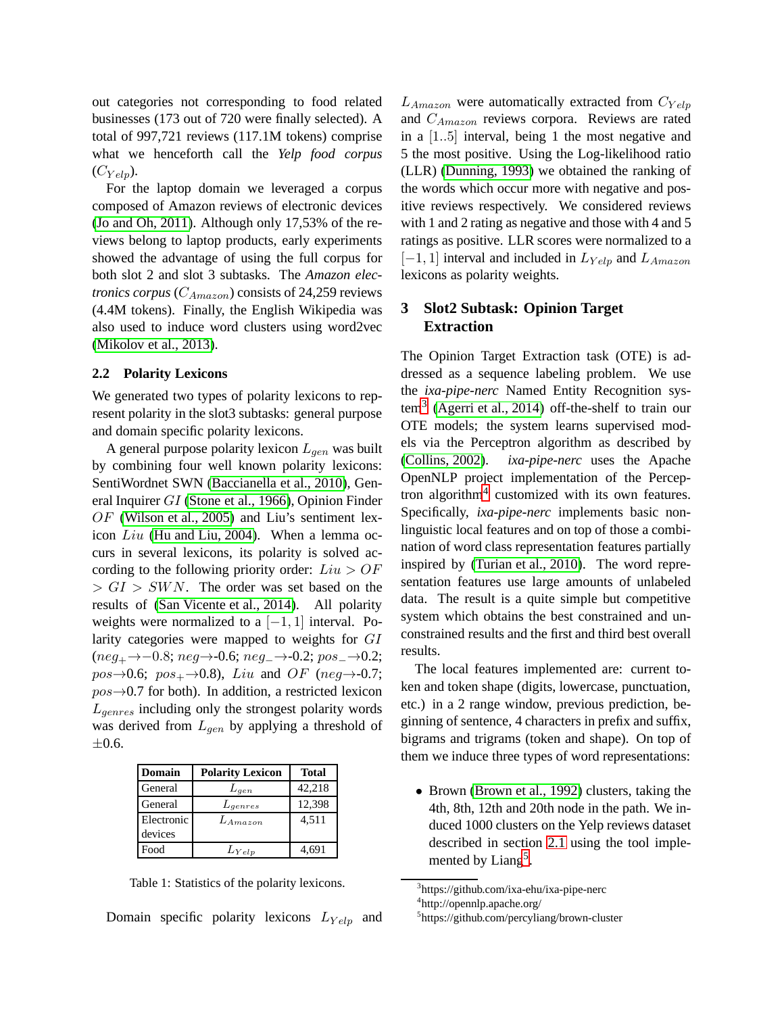out categories not corresponding to food related businesses (173 out of 720 were finally selected). A total of 997,721 reviews (117.1M tokens) comprise what we henceforth call the *Yelp food corpus*  $(C_{Yeln}).$ 

For the laptop domain we leveraged a corpus composed of Amazon reviews of electronic devices [\(Jo and Oh, 2011\)](#page-4-7). Although only 17,53% of the reviews belong to laptop products, early experiments showed the advantage of using the full corpus for both slot 2 and slot 3 subtasks. The *Amazon electronics corpus* ( $C_{Amaxon}$ ) consists of 24,259 reviews (4.4M tokens). Finally, the English Wikipedia was also used to induce word clusters using word2vec [\(Mikolov et al., 2013\)](#page-4-8).

#### **2.2 Polarity Lexicons**

We generated two types of polarity lexicons to represent polarity in the slot3 subtasks: general purpose and domain specific polarity lexicons.

A general purpose polarity lexicon  $L_{gen}$  was built by combining four well known polarity lexicons: SentiWordnet SWN [\(Baccianella et al., 2010\)](#page-4-9), General Inquirer GI [\(Stone et al., 1966\)](#page-4-10), Opinion Finder  $OF$  [\(Wilson et al., 2005\)](#page-5-1) and Liu's sentiment lexicon Liu [\(Hu and Liu, 2004\)](#page-4-11). When a lemma occurs in several lexicons, its polarity is solved according to the following priority order:  $Liu > OF$  $> GI > SWN$ . The order was set based on the results of [\(San Vicente et al., 2014\)](#page-4-12). All polarity weights were normalized to a  $[-1, 1]$  interval. Polarity categories were mapped to weights for GI  $(neg_+ \rightarrow -0.8; neg \rightarrow -0.6; neg_+ \rightarrow -0.2; pos_+ \rightarrow 0.2;$  $pos\rightarrow 0.6$ ;  $pos_{+}\rightarrow 0.8$ ), Liu and OF (neg $\rightarrow$ -0.7;  $pos\rightarrow 0.7$  for both). In addition, a restricted lexicon  $L_{genres}$  including only the strongest polarity words was derived from  $L_{gen}$  by applying a threshold of  $\pm 0.6$ .

| Domain     | <b>Polarity Lexicon</b> | <b>Total</b> |
|------------|-------------------------|--------------|
| General    | $L_{gen}$               | 42,218       |
| General    | $L_{qenres}$            | 12,398       |
| Electronic | $L_{A maxon}$           | 4,511        |
| devices    |                         |              |
| Food       | $L_{Yelp}$              | 4.691        |

Table 1: Statistics of the polarity lexicons.

Domain specific polarity lexicons  $L_{Yelp}$  and

 $L_{Amaxon}$  were automatically extracted from  $C_{Yelp}$ and  $C_{Amaxon}$  reviews corpora. Reviews are rated in a [1..5] interval, being 1 the most negative and 5 the most positive. Using the Log-likelihood ratio (LLR) [\(Dunning, 1993\)](#page-4-13) we obtained the ranking of the words which occur more with negative and positive reviews respectively. We considered reviews with 1 and 2 rating as negative and those with 4 and 5 ratings as positive. LLR scores were normalized to a  $[-1, 1]$  interval and included in  $L_{Yelp}$  and  $L_{Amaxon}$ lexicons as polarity weights.

# <span id="page-1-0"></span>**3 Slot2 Subtask: Opinion Target Extraction**

The Opinion Target Extraction task (OTE) is addressed as a sequence labeling problem. We use the *ixa-pipe-nerc* Named Entity Recognition sys- $\text{tem}^3$  $\text{tem}^3$  [\(Agerri et al., 2014\)](#page-4-4) off-the-shelf to train our OTE models; the system learns supervised models via the Perceptron algorithm as described by [\(Collins, 2002\)](#page-4-14). *ixa-pipe-nerc* uses the Apache OpenNLP project implementation of the Percep-tron algorithm<sup>[4](#page-1-2)</sup> customized with its own features. Specifically, *ixa-pipe-nerc* implements basic nonlinguistic local features and on top of those a combination of word class representation features partially inspired by [\(Turian et al., 2010\)](#page-4-15). The word representation features use large amounts of unlabeled data. The result is a quite simple but competitive system which obtains the best constrained and unconstrained results and the first and third best overall results.

The local features implemented are: current token and token shape (digits, lowercase, punctuation, etc.) in a 2 range window, previous prediction, beginning of sentence, 4 characters in prefix and suffix, bigrams and trigrams (token and shape). On top of them we induce three types of word representations:

• Brown [\(Brown et al., 1992\)](#page-4-16) clusters, taking the 4th, 8th, 12th and 20th node in the path. We induced 1000 clusters on the Yelp reviews dataset described in section [2.1](#page-0-2) using the tool imple-mented by Liang<sup>[5](#page-1-3)</sup>.

<sup>3</sup> https://github.com/ixa-ehu/ixa-pipe-nerc

<span id="page-1-1"></span><sup>4</sup> http://opennlp.apache.org/

<span id="page-1-3"></span><span id="page-1-2"></span><sup>5</sup> https://github.com/percyliang/brown-cluster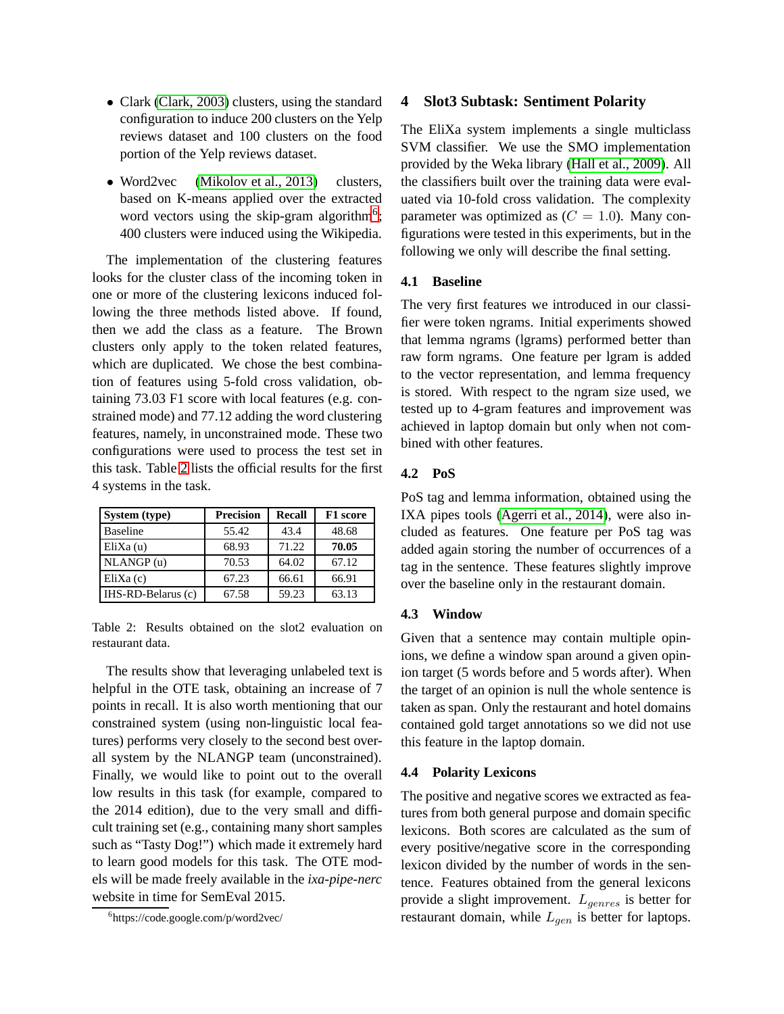- Clark [\(Clark, 2003\)](#page-4-17) clusters, using the standard configuration to induce 200 clusters on the Yelp reviews dataset and 100 clusters on the food portion of the Yelp reviews dataset.
- Word2vec [\(Mikolov et al., 2013\)](#page-4-8) clusters, based on K-means applied over the extracted word vectors using the skip-gram algorithm<sup>[6](#page-2-1)</sup>; 400 clusters were induced using the Wikipedia.

The implementation of the clustering features looks for the cluster class of the incoming token in one or more of the clustering lexicons induced following the three methods listed above. If found, then we add the class as a feature. The Brown clusters only apply to the token related features, which are duplicated. We chose the best combination of features using 5-fold cross validation, obtaining 73.03 F1 score with local features (e.g. constrained mode) and 77.12 adding the word clustering features, namely, in unconstrained mode. These two configurations were used to process the test set in this task. Table [2](#page-2-2) lists the official results for the first 4 systems in the task.

| System (type)      | <b>Precision</b> | <b>Recall</b> | F1 score |
|--------------------|------------------|---------------|----------|
| <b>Baseline</b>    | 55.42            | 43.4          | 48.68    |
| $E$ li $X$ a $(u)$ | 68.93            | 71.22         | 70.05    |
| NLANGP(u)          | 70.53            | 64.02         | 67.12    |
| $E$ liXa $(c)$     | 67.23            | 66.61         | 66.91    |
| IHS-RD-Belarus (c) | 67.58            | 59.23         | 63.13    |

<span id="page-2-2"></span>Table 2: Results obtained on the slot2 evaluation on restaurant data.

The results show that leveraging unlabeled text is helpful in the OTE task, obtaining an increase of 7 points in recall. It is also worth mentioning that our constrained system (using non-linguistic local features) performs very closely to the second best overall system by the NLANGP team (unconstrained). Finally, we would like to point out to the overall low results in this task (for example, compared to the 2014 edition), due to the very small and difficult training set (e.g., containing many short samples such as "Tasty Dog!") which made it extremely hard to learn good models for this task. The OTE models will be made freely available in the *ixa-pipe-nerc* website in time for SemEval 2015.

#### <span id="page-2-0"></span>**4 Slot3 Subtask: Sentiment Polarity**

The EliXa system implements a single multiclass SVM classifier. We use the SMO implementation provided by the Weka library [\(Hall et al., 2009\)](#page-4-5). All the classifiers built over the training data were evaluated via 10-fold cross validation. The complexity parameter was optimized as  $(C = 1.0)$ . Many configurations were tested in this experiments, but in the following we only will describe the final setting.

### **4.1 Baseline**

The very first features we introduced in our classifier were token ngrams. Initial experiments showed that lemma ngrams (lgrams) performed better than raw form ngrams. One feature per lgram is added to the vector representation, and lemma frequency is stored. With respect to the ngram size used, we tested up to 4-gram features and improvement was achieved in laptop domain but only when not combined with other features.

#### **4.2 PoS**

PoS tag and lemma information, obtained using the IXA pipes tools [\(Agerri et al., 2014\)](#page-4-4), were also included as features. One feature per PoS tag was added again storing the number of occurrences of a tag in the sentence. These features slightly improve over the baseline only in the restaurant domain.

#### **4.3 Window**

Given that a sentence may contain multiple opinions, we define a window span around a given opinion target (5 words before and 5 words after). When the target of an opinion is null the whole sentence is taken as span. Only the restaurant and hotel domains contained gold target annotations so we did not use this feature in the laptop domain.

#### **4.4 Polarity Lexicons**

The positive and negative scores we extracted as features from both general purpose and domain specific lexicons. Both scores are calculated as the sum of every positive/negative score in the corresponding lexicon divided by the number of words in the sentence. Features obtained from the general lexicons provide a slight improvement.  $L_{genres}$  is better for restaurant domain, while  $L_{gen}$  is better for laptops.

<span id="page-2-1"></span><sup>6</sup> https://code.google.com/p/word2vec/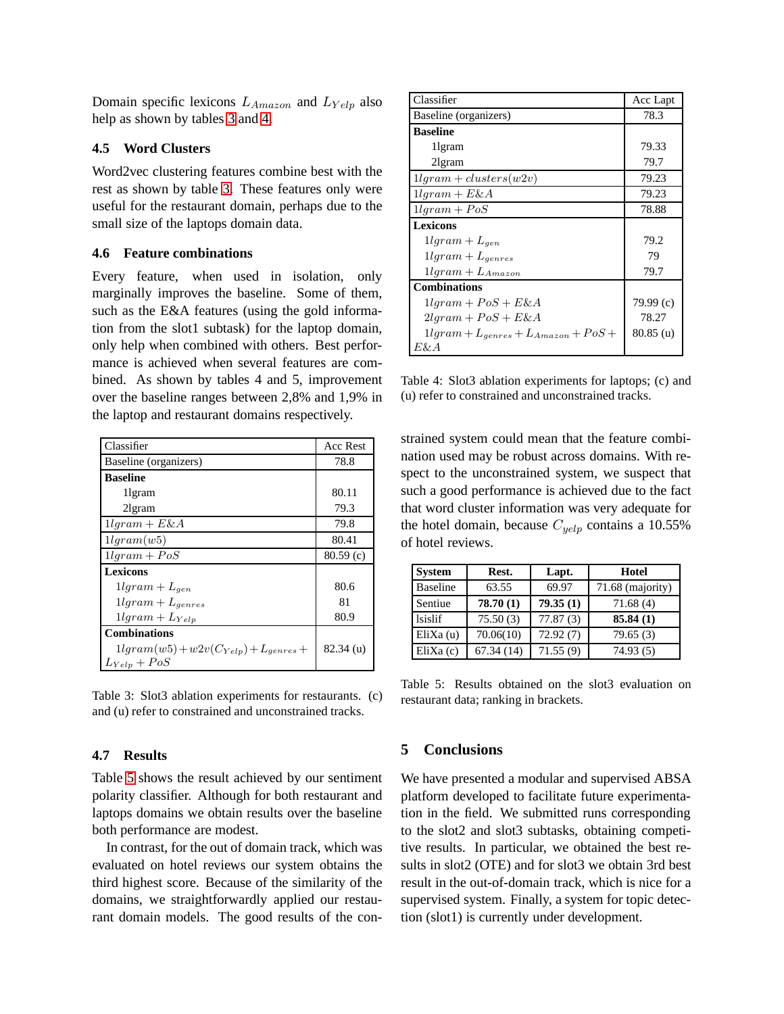Domain specific lexicons  $L_{Amaxon}$  and  $L_{Yelp}$  also help as shown by tables [3](#page-3-0) and [4.](#page-3-1)

#### **4.5 Word Clusters**

Word2vec clustering features combine best with the rest as shown by table [3.](#page-3-0) These features only were useful for the restaurant domain, perhaps due to the small size of the laptops domain data.

#### **4.6 Feature combinations**

Every feature, when used in isolation, only marginally improves the baseline. Some of them, such as the E&A features (using the gold information from the slot1 subtask) for the laptop domain, only help when combined with others. Best performance is achieved when several features are combined. As shown by tables 4 and 5, improvement over the baseline ranges between 2,8% and 1,9% in the laptop and restaurant domains respectively.

| Classifier                                  | Acc Rest    |
|---------------------------------------------|-------------|
| Baseline (organizers)                       | 78.8        |
| <b>Baseline</b>                             |             |
| 1 gram                                      | 80.11       |
| 21gram                                      | 79.3        |
| $11qram + E\&A$                             | 79.8        |
| 11qram(w5)                                  | 80.41       |
| $11qram + PoS$                              | 80.59(c)    |
| <b>Lexicons</b>                             |             |
| $11gram + L_{gen}$                          | 80.6        |
| $11gram + L_{genres}$                       | 81          |
| $11gram + L_{Yelp}$                         | 80.9        |
| <b>Combinations</b>                         |             |
| $1lgram(w5) + w2v(C_{Yelp}) + L_{genses} +$ | $82.34$ (u) |
| $L_{Yelp} + PoS$                            |             |

<span id="page-3-0"></span>Table 3: Slot3 ablation experiments for restaurants. (c) and (u) refer to constrained and unconstrained tracks.

## **4.7 Results**

Table [5](#page-3-2) shows the result achieved by our sentiment polarity classifier. Although for both restaurant and laptops domains we obtain results over the baseline both performance are modest.

In contrast, for the out of domain track, which was evaluated on hotel reviews our system obtains the third highest score. Because of the similarity of the domains, we straightforwardly applied our restaurant domain models. The good results of the con-

| Classifier                                 | Acc Lapt    |
|--------------------------------------------|-------------|
| Baseline (organizers)                      | 78.3        |
| <b>Baseline</b>                            |             |
| 1 gram                                     | 79.33       |
| 21gram                                     | 79.7        |
| $11qram + clusters(w2v)$                   | 79.23       |
| $11qram + E\&A$                            | 79.23       |
| $11qram + PoS$                             | 78.88       |
| Lexicons                                   |             |
| $11gram + L_{gen}$                         | 79.2        |
| $11gram + L_{qenres}$                      | 79          |
| $1lgram + L_{Amaxon}$                      | 79.7        |
| <b>Combinations</b>                        |             |
| $11qram + PoS + E\&A$                      | 79.99(c)    |
| $2lgram + PoS + E\&A$                      | 78.27       |
| $1lgram + L_{genres} + L_{Amaxon} + PoS +$ | $80.85$ (u) |
| E& A                                       |             |

<span id="page-3-1"></span>Table 4: Slot3 ablation experiments for laptops; (c) and (u) refer to constrained and unconstrained tracks.

strained system could mean that the feature combination used may be robust across domains. With respect to the unconstrained system, we suspect that such a good performance is achieved due to the fact that word cluster information was very adequate for the hotel domain, because  $C_{yelp}$  contains a 10.55% of hotel reviews.

| <b>System</b>   | Rest.     | Lapt.    | Hotel            |
|-----------------|-----------|----------|------------------|
| <b>Baseline</b> | 63.55     | 69.97    | 71.68 (majority) |
| Sentiue         | 78.70(1)  | 79.35(1) | 71.68(4)         |
| lsislif         | 75.50(3)  | 77.87(3) | 85.84(1)         |
| EliXa(u)        | 70.06(10) | 72.92(7) | 79.65(3)         |
| $E$ liXa $(c)$  | 67.34(14) | 71.55(9) | 74.93(5)         |

<span id="page-3-2"></span>Table 5: Results obtained on the slot3 evaluation on restaurant data; ranking in brackets.

## **5 Conclusions**

We have presented a modular and supervised ABSA platform developed to facilitate future experimentation in the field. We submitted runs corresponding to the slot2 and slot3 subtasks, obtaining competitive results. In particular, we obtained the best results in slot2 (OTE) and for slot3 we obtain 3rd best result in the out-of-domain track, which is nice for a supervised system. Finally, a system for topic detection (slot1) is currently under development.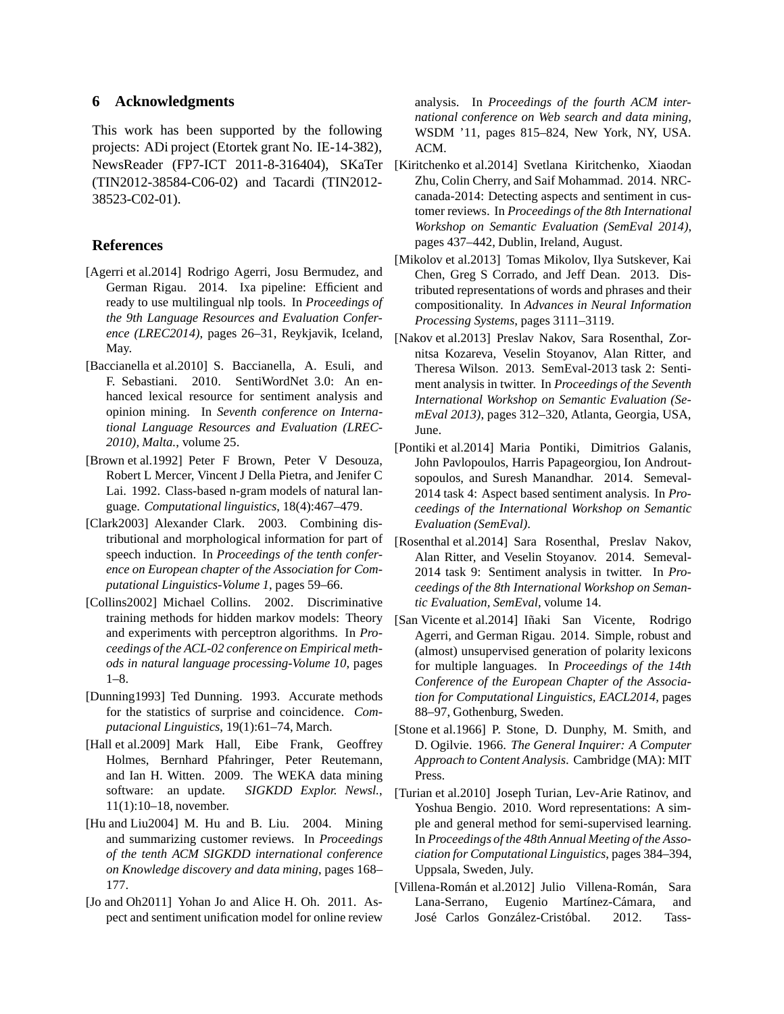### **6 Acknowledgments**

This work has been supported by the following projects: ADi project (Etortek grant No. IE-14-382), NewsReader (FP7-ICT 2011-8-316404), SKaTer (TIN2012-38584-C06-02) and Tacardi (TIN2012- 38523-C02-01).

#### **References**

- <span id="page-4-4"></span>[Agerri et al.2014] Rodrigo Agerri, Josu Bermudez, and German Rigau. 2014. Ixa pipeline: Efficient and ready to use multilingual nlp tools. In *Proceedings of the 9th Language Resources and Evaluation Conference (LREC2014)*, pages 26–31, Reykjavik, Iceland, May.
- <span id="page-4-9"></span>[Baccianella et al.2010] S. Baccianella, A. Esuli, and F. Sebastiani. 2010. SentiWordNet 3.0: An enhanced lexical resource for sentiment analysis and opinion mining. In *Seventh conference on International Language Resources and Evaluation (LREC-2010), Malta.*, volume 25.
- <span id="page-4-16"></span>[Brown et al.1992] Peter F Brown, Peter V Desouza, Robert L Mercer, Vincent J Della Pietra, and Jenifer C Lai. 1992. Class-based n-gram models of natural language. *Computational linguistics*, 18(4):467–479.
- <span id="page-4-17"></span>[Clark2003] Alexander Clark. 2003. Combining distributional and morphological information for part of speech induction. In *Proceedings of the tenth conference on European chapter of the Association for Computational Linguistics-Volume 1*, pages 59–66.
- <span id="page-4-14"></span>[Collins2002] Michael Collins. 2002. Discriminative training methods for hidden markov models: Theory and experiments with perceptron algorithms. In *Proceedings of the ACL-02 conference on Empirical methods in natural language processing-Volume 10*, pages 1–8.
- <span id="page-4-13"></span>[Dunning1993] Ted Dunning. 1993. Accurate methods for the statistics of surprise and coincidence. *Computacional Linguistics*, 19(1):61–74, March.
- <span id="page-4-5"></span>[Hall et al.2009] Mark Hall, Eibe Frank, Geoffrey Holmes, Bernhard Pfahringer, Peter Reutemann, and Ian H. Witten. 2009. The WEKA data mining software: an update. *SIGKDD Explor. Newsl.*, 11(1):10–18, november.
- <span id="page-4-11"></span>[Hu and Liu2004] M. Hu and B. Liu. 2004. Mining and summarizing customer reviews. In *Proceedings of the tenth ACM SIGKDD international conference on Knowledge discovery and data mining*, pages 168– 177.
- <span id="page-4-7"></span>[Jo and Oh2011] Yohan Jo and Alice H. Oh. 2011. Aspect and sentiment unification model for online review

analysis. In *Proceedings of the fourth ACM international conference on Web search and data mining*, WSDM '11, pages 815–824, New York, NY, USA. ACM.

- <span id="page-4-6"></span>[Kiritchenko et al.2014] Svetlana Kiritchenko, Xiaodan Zhu, Colin Cherry, and Saif Mohammad. 2014. NRCcanada-2014: Detecting aspects and sentiment in customer reviews. In *Proceedings of the 8th International Workshop on Semantic Evaluation (SemEval 2014)*, pages 437–442, Dublin, Ireland, August.
- <span id="page-4-8"></span>[Mikolov et al.2013] Tomas Mikolov, Ilya Sutskever, Kai Chen, Greg S Corrado, and Jeff Dean. 2013. Distributed representations of words and phrases and their compositionality. In *Advances in Neural Information Processing Systems*, pages 3111–3119.
- <span id="page-4-1"></span>[Nakov et al.2013] Preslav Nakov, Sara Rosenthal, Zornitsa Kozareva, Veselin Stoyanov, Alan Ritter, and Theresa Wilson. 2013. SemEval-2013 task 2: Sentiment analysis in twitter. In *Proceedings of the Seventh International Workshop on Semantic Evaluation (SemEval 2013)*, pages 312–320, Atlanta, Georgia, USA, June.
- <span id="page-4-2"></span>[Pontiki et al.2014] Maria Pontiki, Dimitrios Galanis, John Pavlopoulos, Harris Papageorgiou, Ion Androutsopoulos, and Suresh Manandhar. 2014. Semeval-2014 task 4: Aspect based sentiment analysis. In *Proceedings of the International Workshop on Semantic Evaluation (SemEval)*.
- <span id="page-4-3"></span>[Rosenthal et al.2014] Sara Rosenthal, Preslav Nakov, Alan Ritter, and Veselin Stoyanov. 2014. Semeval-2014 task 9: Sentiment analysis in twitter. In *Proceedings of the 8th International Workshop on Semantic Evaluation, SemEval*, volume 14.
- <span id="page-4-12"></span>[San Vicente et al.2014] Iñaki San Vicente, Rodrigo Agerri, and German Rigau. 2014. Simple, robust and (almost) unsupervised generation of polarity lexicons for multiple languages. In *Proceedings of the 14th Conference of the European Chapter of the Association for Computational Linguistics, EACL2014*, pages 88–97, Gothenburg, Sweden.
- <span id="page-4-10"></span>[Stone et al.1966] P. Stone, D. Dunphy, M. Smith, and D. Ogilvie. 1966. *The General Inquirer: A Computer Approach to Content Analysis*. Cambridge (MA): MIT Press.
- <span id="page-4-15"></span>[Turian et al.2010] Joseph Turian, Lev-Arie Ratinov, and Yoshua Bengio. 2010. Word representations: A simple and general method for semi-supervised learning. In *Proceedings of the 48th Annual Meeting of the Association for Computational Linguistics*, pages 384–394, Uppsala, Sweden, July.
- <span id="page-4-0"></span>[Villena-Román et al.2012] Julio Villena-Román, Sara Lana-Serrano, Eugenio Martínez-Cámara, and José Carlos González-Cristóbal. 2012. Tass-